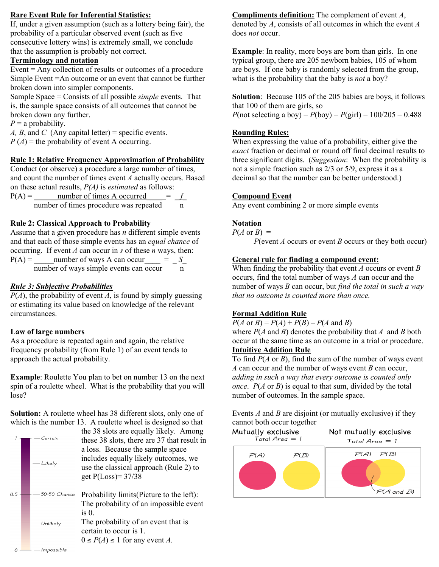### **Rare Event Rule for Inferential Statistics:**

If, under a given assumption (such as a lottery being fair), the probability of a particular observed event (such as five consecutive lottery wins) is extremely small, we conclude that the assumption is probably not correct.

## **Terminology and notation**

Event = Any collection of results or outcomes of a procedure Simple Event =An outcome or an event that cannot be further broken down into simpler components.

Sample Space = Consists of all possible *simple* events. That is, the sample space consists of all outcomes that cannot be broken down any further.

 $P = a$  probability.

*A, B,* and *C* (Any capital letter) = specific events.  $P(A)$  = the probability of event A occurring.

# **Rule 1: Relative Frequency Approximation of Probability**

Conduct (or observe) a procedure a large number of times, and count the number of times event *A* actually occurs. Based on these actual results, *P(A)* is *estimated* as follows:

 $P(A) =$  number of times A occurred  $=$   $f$ number of times procedure was repeated n

# **Rule 2: Classical Approach to Probability**

Assume that a given procedure has *n* different simple events and that each of those simple events has an *equal chance* of occurring. If event *A* can occur in *s* of these *n* ways, then:<br> $P(A) =$  number of ways A can occur = *S* 

| $P(A) =$ | number of ways A can occur<br>$=$      |  |
|----------|----------------------------------------|--|
|          | number of ways simple events can occur |  |

# *Rule 3: Subjective Probabilities*

 $P(A)$ , the probability of event *A*, is found by simply guessing or estimating its value based on knowledge of the relevant circumstances.

## **Law of large numbers**

As a procedure is repeated again and again, the relative frequency probability (from Rule 1) of an event tends to approach the actual probability.

**Example**: Roulette You plan to bet on number 13 on the next spin of a roulette wheel. What is the probability that you will lose?

**Solution:** A roulette wheel has 38 different slots, only one of which is the number 13. A roulette wheel is designed so that

|     | Certain<br>Likely | the 38 slots are equally likely. Among<br>these 38 slots, there are 37 that result in<br>a loss. Because the sample space<br>includes equally likely outcomes, we<br>use the classical approach (Rule 2) to<br>get $P(Loss) = 37/38$ |  |
|-----|-------------------|--------------------------------------------------------------------------------------------------------------------------------------------------------------------------------------------------------------------------------------|--|
| 0.5 | 50-50 Chance      | Probability limits (Picture to the left):<br>The probability of an impossible event                                                                                                                                                  |  |
|     | Unlikely          | is <sub>0</sub><br>The probability of an event that is<br>certain to occur is 1.<br>$0 \le P(A) \le 1$ for any event A.                                                                                                              |  |

**Compliments definition:** The complement of event *A*, denoted by *A*, consists of all outcomes in which the event *A* does *not* occur.

**Example**: In reality, more boys are born than girls. In one typical group, there are 205 newborn babies, 105 of whom are boys. If one baby is randomly selected from the group, what is the probability that the baby is *not* a boy?

**Solution**: Because 105 of the 205 babies are boys, it follows that 100 of them are girls, so *P*(not selecting a boy) = *P*(boy) = *P*(girl) =  $100/205 = 0.488$ 

## **Rounding Rules:**

When expressing the value of a probability, either give the *exact* fraction or decimal or round off final decimal results to three significant digits. (*Suggestion*: When the probability is not a simple fraction such as 2/3 or 5/9, express it as a decimal so that the number can be better understood.)

# **Compound Event**

Any event combining 2 or more simple events

# **Notation**

 $P(A \text{ or } B) =$ 

*P*(event *A* occurs or event *B* occurs or they both occur)

# **General rule for finding a compound event:**

When finding the probability that event *A* occurs or event *B* occurs, find the total number of ways *A* can occur and the number of ways *B* can occur, but *find the total in such a way that no outcome is counted more than once.*

# **Formal Addition Rule**

 $P(A \text{ or } B) = P(A) + P(B) - P(A \text{ and } B)$ 

where *P*(*A* and *B*) denotes the probability that *A* and *B* both occur at the same time as an outcome in a trial or procedure. **Intuitive Addition Rule**

To find *P*(*A* or *B*), find the sum of the number of ways event *A* can occur and the number of ways event *B* can occur, *adding in such a way that every outcome is counted only once*. *P*(*A* or *B*) is equal to that sum, divided by the total number of outcomes. In the sample space.

Events *A* and *B* are disjoint (or mutually exclusive) if they cannot both occur together

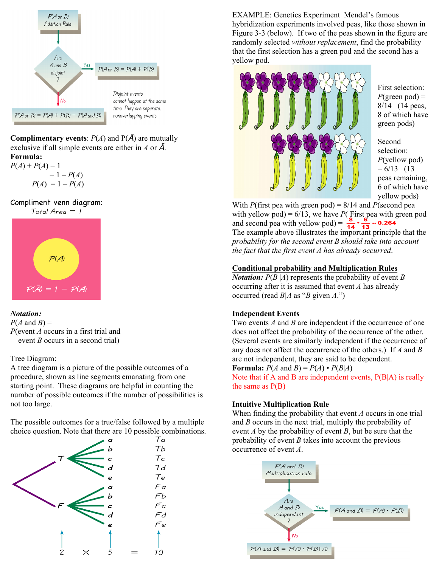

**Complimentary events:**  $P(A)$  and  $P(\overline{A})$  are mutually exclusive if all simple events are either in *A* or Ā. **Formula:**

 $P(A) + P(A) = 1$  $= 1 - P(A)$  $P(A) = 1 - P(A)$ 

Compliment venn diagram:



### *Notation:*

 $P(A \text{ and } B) =$ *P*(event *A* occurs in a first trial and event *B* occurs in a second trial)

### Tree Diagram:

A tree diagram is a picture of the possible outcomes of a procedure, shown as line segments emanating from one starting point. These diagrams are helpful in counting the number of possible outcomes if the number of possibilities is not too large.

The possible outcomes for a true/false followed by a multiple choice question. Note that there are 10 possible combinations.



EXAMPLE: Genetics Experiment Mendel's famous hybridization experiments involved peas, like those shown in Figure 3-3 (below). If two of the peas shown in the figure are randomly selected *without replacement*, find the probability that the first selection has a green pod and the second has a yellow pod.



First selection:  $P(\text{green pod}) =$ 8/14 (14 peas, 8 of which have green pods)

Second selection: *P*(yellow pod)  $= 6/13$  (13) peas remaining, 6 of which have yellow pods)

With *P*(first pea with green pod) = 8/14 and *P*(second pea with yellow pod) =  $6/13$ , we have *P*( $\overline{F}$ irst pea with green pod and second pea with yellow pod) =  $\frac{8}{14} \cdot \frac{6}{13} \approx 0.264$ The example above illustrates the important principle that the *probability for the second event B should take into account the fact that the first event A has already occurred*.

# **Conditional probability and Multiplication Rules**

*Notation:*  $P(B|A)$  represents the probability of event *B* occurring after it is assumed that event *A* has already occurred (read *B|A* as "*B* given *A*.")

#### **Independent Events**

Two events *A* and *B* are independent if the occurrence of one does not affect the probability of the occurrence of the other. (Several events are similarly independent if the occurrence of any does not affect the occurrence of the others.) If *A* and *B* are not independent, they are said to be dependent.

**Formula:**  $P(A \text{ and } B) = P(A) \cdot P(B|A)$ 

Note that if A and B are independent events, P(B|A) is really the same as  $P(B)$ 

#### **Intuitive Multiplication Rule**

When finding the probability that event *A* occurs in one trial and *B* occurs in the next trial, multiply the probability of event *A* by the probability of event *B*, but be sure that the probability of event *B* takes into account the previous occurrence of event *A*.